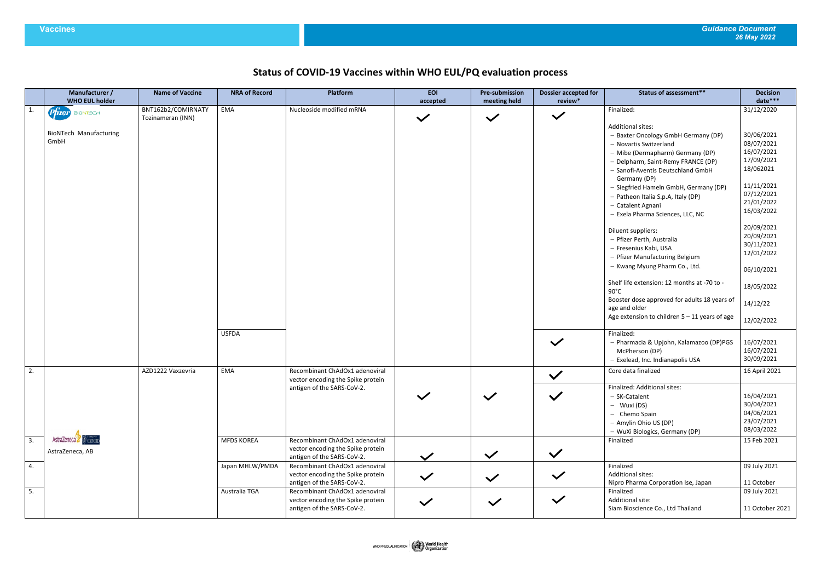## **Status of COVID-19 Vaccines within WHO EUL/PQ evaluation process**

|    | Manufacturer /<br><b>WHO EUL holder</b> | <b>Name of Vaccine</b> | <b>NRA of Record</b> | Platform                                                                                          | <b>EOI</b><br>accepted | <b>Pre-submission</b><br>meeting held | <b>Dossier accepted for</b><br>review* | <b>Status of assessment**</b>                                                                                                                                                                                                                                                                                                                                                                                                                                                  | <b>Decision</b><br>date***                                                                                                                                                        |
|----|-----------------------------------------|------------------------|----------------------|---------------------------------------------------------------------------------------------------|------------------------|---------------------------------------|----------------------------------------|--------------------------------------------------------------------------------------------------------------------------------------------------------------------------------------------------------------------------------------------------------------------------------------------------------------------------------------------------------------------------------------------------------------------------------------------------------------------------------|-----------------------------------------------------------------------------------------------------------------------------------------------------------------------------------|
| 1. | $P$ $ Ter$ BIONTECH                     | BNT162b2/COMIRNATY     | EMA                  | Nucleoside modified mRNA                                                                          |                        |                                       |                                        | Finalized:                                                                                                                                                                                                                                                                                                                                                                                                                                                                     | 31/12/2020                                                                                                                                                                        |
|    | <b>BioNTech Manufacturing</b><br>GmbH   | Tozinameran (INN)      |                      |                                                                                                   | $\checkmark$           | $\checkmark$                          | $\checkmark$                           | <b>Additional sites:</b><br>- Baxter Oncology GmbH Germany (DP)<br>- Novartis Switzerland<br>- Mibe (Dermapharm) Germany (DP)<br>- Delpharm, Saint-Remy FRANCE (DP)<br>- Sanofi-Aventis Deutschland GmbH<br>Germany (DP)<br>- Siegfried Hameln GmbH, Germany (DP)<br>- Patheon Italia S.p.A, Italy (DP)<br>- Catalent Agnani<br>- Exela Pharma Sciences, LLC, NC<br>Diluent suppliers:<br>- Pfizer Perth, Australia<br>- Fresenius Kabi, USA<br>- Pfizer Manufacturing Belgium | 30/06/2021<br>08/07/2021<br>16/07/2021<br>17/09/2021<br>18/062021<br>11/11/2021<br>07/12/2021<br>21/01/2022<br>16/03/2022<br>20/09/2021<br>20/09/2021<br>30/11/2021<br>12/01/2022 |
|    |                                         |                        |                      |                                                                                                   |                        |                                       |                                        | - Kwang Myung Pharm Co., Ltd.                                                                                                                                                                                                                                                                                                                                                                                                                                                  | 06/10/2021                                                                                                                                                                        |
|    |                                         |                        |                      |                                                                                                   |                        |                                       |                                        | Shelf life extension: 12 months at -70 to -<br>$90^{\circ}$ C                                                                                                                                                                                                                                                                                                                                                                                                                  | 18/05/2022                                                                                                                                                                        |
|    |                                         |                        |                      |                                                                                                   |                        |                                       |                                        | Booster dose approved for adults 18 years of<br>age and older                                                                                                                                                                                                                                                                                                                                                                                                                  | 14/12/22                                                                                                                                                                          |
|    |                                         |                        |                      |                                                                                                   |                        |                                       |                                        | Age extension to children $5 - 11$ years of age                                                                                                                                                                                                                                                                                                                                                                                                                                | 12/02/2022                                                                                                                                                                        |
|    |                                         |                        | <b>USFDA</b>         |                                                                                                   |                        |                                       | $\checkmark$                           | Finalized:<br>- Pharmacia & Upjohn, Kalamazoo (DP)PGS<br>McPherson (DP)<br>- Exelead, Inc. Indianapolis USA                                                                                                                                                                                                                                                                                                                                                                    | 16/07/2021<br>16/07/2021<br>30/09/2021                                                                                                                                            |
| 2. |                                         | AZD1222 Vaxzevria      | EMA                  | Recombinant ChAdOx1 adenoviral<br>vector encoding the Spike protein                               |                        |                                       | $\checkmark$                           | Core data finalized                                                                                                                                                                                                                                                                                                                                                                                                                                                            | 16 April 2021                                                                                                                                                                     |
|    |                                         |                        |                      | antigen of the SARS-CoV-2.                                                                        | $\checkmark$           | $\checkmark$                          | $\checkmark$                           | Finalized: Additional sites:<br>- SK-Catalent<br>- Wuxi (DS)<br>- Chemo Spain<br>- Amylin Ohio US (DP)<br>- WuXi Biologics, Germany (DP)                                                                                                                                                                                                                                                                                                                                       | 16/04/2021<br>30/04/2021<br>04/06/2021<br>23/07/2021<br>08/03/2022                                                                                                                |
| 3. | AstraZeneca & OXFOR<br>AstraZeneca, AB  |                        | <b>MFDS KOREA</b>    | Recombinant ChAdOx1 adenoviral<br>vector encoding the Spike protein<br>antigen of the SARS-CoV-2. | $\checkmark$           | $\checkmark$                          | $\checkmark$                           | Finalized                                                                                                                                                                                                                                                                                                                                                                                                                                                                      | 15 Feb 2021                                                                                                                                                                       |
| 4. |                                         |                        | Japan MHLW/PMDA      | Recombinant ChAdOx1 adenoviral<br>vector encoding the Spike protein<br>antigen of the SARS-CoV-2. | $\checkmark$           | $\checkmark$                          | $\checkmark$                           | Finalized<br><b>Additional sites:</b><br>Nipro Pharma Corporation Ise, Japan                                                                                                                                                                                                                                                                                                                                                                                                   | 09 July 2021<br>11 October                                                                                                                                                        |
| 5. |                                         |                        | Australia TGA        | Recombinant ChAdOx1 adenoviral<br>vector encoding the Spike protein<br>antigen of the SARS-CoV-2. | $\checkmark$           | $\checkmark$                          | $\checkmark$                           | Finalized<br>Additional site:<br>Siam Bioscience Co., Ltd Thailand                                                                                                                                                                                                                                                                                                                                                                                                             | 09 July 2021<br>11 October 2021                                                                                                                                                   |
|    |                                         |                        |                      |                                                                                                   |                        |                                       |                                        |                                                                                                                                                                                                                                                                                                                                                                                                                                                                                |                                                                                                                                                                                   |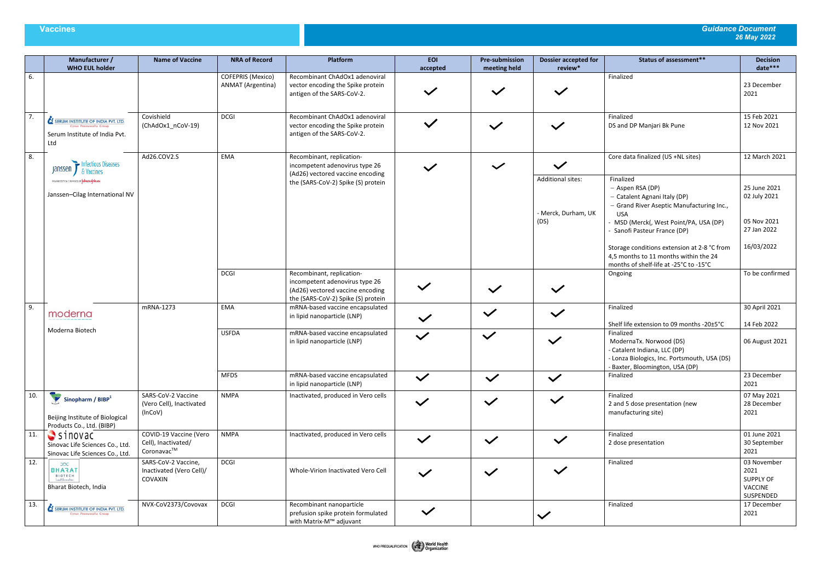## **Vaccines** *Guidance Document 26 May 2022*

|     | Manufacturer /<br><b>WHO EUL holder</b>                                                                                                       | <b>Name of Vaccine</b>                                      | <b>NRA of Record</b>                                                   | Platform                                                                                                                              | <b>EOI</b><br>accepted | <b>Pre-submission</b><br>meeting held            | <b>Dossier accepted for</b><br>review*                                                                                                                                                           | <b>Status of assessment**</b>                                                                                                                           | <b>Decision</b><br>date***                               |
|-----|-----------------------------------------------------------------------------------------------------------------------------------------------|-------------------------------------------------------------|------------------------------------------------------------------------|---------------------------------------------------------------------------------------------------------------------------------------|------------------------|--------------------------------------------------|--------------------------------------------------------------------------------------------------------------------------------------------------------------------------------------------------|---------------------------------------------------------------------------------------------------------------------------------------------------------|----------------------------------------------------------|
| 6.  |                                                                                                                                               |                                                             | COFEPRIS (Mexico)<br><b>ANMAT</b> (Argentina)                          | Recombinant ChAdOx1 adenoviral<br>vector encoding the Spike protein<br>antigen of the SARS-CoV-2.                                     |                        | $\checkmark$                                     | $\checkmark$                                                                                                                                                                                     | Finalized                                                                                                                                               | 23 December<br>2021                                      |
| 7.  | <b>SERUM INSTITUTE OF INDIA PVT. LTD.</b><br>Cyrus Poonawalla Group<br>Serum Institute of India Pvt.<br>Ltd                                   | Covishield<br>(ChAdOx1_nCoV-19)                             | <b>DCGI</b>                                                            | Recombinant ChAdOx1 adenoviral<br>vector encoding the Spike protein<br>antigen of the SARS-CoV-2.                                     | $\checkmark$           | $\checkmark$                                     | $\checkmark$                                                                                                                                                                                     | Finalized<br>DS and DP Manjari Bk Pune                                                                                                                  | 15 Feb 2021<br>12 Nov 2021                               |
| 8.  | Ad26.COV2.S<br>Infectious Diseases<br>Janssen J<br>& Vaccines<br>PHARMACEUTICAL CONPANIES OF LORINOR CONTEN<br>Janssen-Cilag International NV |                                                             | EMA                                                                    | Recombinant, replication-<br>incompetent adenovirus type 26                                                                           |                        | $\checkmark$                                     | $\checkmark$                                                                                                                                                                                     | Core data finalized (US +NL sites)                                                                                                                      | 12 March 2021                                            |
|     |                                                                                                                                               |                                                             | (Ad26) vectored vaccine encoding<br>the (SARS-CoV-2) Spike (S) protein |                                                                                                                                       |                        | Additional sites:<br>- Merck, Durham, UK<br>(DS) | Finalized<br>- Aspen RSA (DP)<br>- Catalent Agnani Italy (DP)<br>- Grand River Aseptic Manufacturing Inc.,<br><b>USA</b><br>- MSD (Merck(, West Point/PA, USA (DP)<br>Sanofi Pasteur France (DP) | 25 June 2021<br>02 July 2021<br>05 Nov 2021<br>27 Jan 2022                                                                                              |                                                          |
|     |                                                                                                                                               |                                                             |                                                                        |                                                                                                                                       |                        |                                                  |                                                                                                                                                                                                  | Storage conditions extension at 2-8 °C from<br>4,5 months to 11 months within the 24<br>months of shelf-life at -25°C to -15°C                          | 16/03/2022                                               |
|     |                                                                                                                                               |                                                             | <b>DCGI</b>                                                            | Recombinant, replication-<br>incompetent adenovirus type 26<br>(Ad26) vectored vaccine encoding<br>the (SARS-CoV-2) Spike (S) protein | $\checkmark$           | $\checkmark$                                     | $\checkmark$                                                                                                                                                                                     | Ongoing                                                                                                                                                 | To be confirmed                                          |
| 9.  | moderna                                                                                                                                       | mRNA-1273                                                   | EMA                                                                    | mRNA-based vaccine encapsulated<br>in lipid nanoparticle (LNP)                                                                        | $\checkmark$           | $\checkmark$                                     | $\checkmark$                                                                                                                                                                                     | Finalized<br>Shelf life extension to 09 months -20±5°C                                                                                                  | 30 April 2021<br>14 Feb 2022                             |
|     | Moderna Biotech                                                                                                                               |                                                             | <b>USFDA</b>                                                           | mRNA-based vaccine encapsulated<br>in lipid nanoparticle (LNP)                                                                        | $\checkmark$           | $\checkmark$                                     | $\checkmark$                                                                                                                                                                                     | Finalized<br>ModernaTx. Norwood (DS)<br>- Catalent Indiana, LLC (DP)<br>- Lonza Biologics, Inc. Portsmouth, USA (DS)<br>- Baxter, Bloomington, USA (DP) | 06 August 2021                                           |
|     |                                                                                                                                               |                                                             | <b>MFDS</b>                                                            | mRNA-based vaccine encapsulated<br>in lipid nanoparticle (LNP)                                                                        | $\checkmark$           | $\checkmark$                                     | $\checkmark$                                                                                                                                                                                     | Finalized                                                                                                                                               | 23 December<br>2021                                      |
| 10. | Sinopharm / BIBP <sup>1</sup><br>Beijing Institute of Biological<br>Products Co., Ltd. (BIBP)                                                 | SARS-CoV-2 Vaccine<br>(Vero Cell), Inactivated<br>(InCoV)   | <b>NMPA</b>                                                            | Inactivated, produced in Vero cells                                                                                                   | $\checkmark$           | $\checkmark$                                     | $\checkmark$                                                                                                                                                                                     | Finalized<br>2 and 5 dose presentation (new<br>manufacturing site)                                                                                      | 07 May 2021<br>28 December<br>2021                       |
| 11. | $S$ sinovac<br>Sinovac Life Sciences Co., Ltd.<br>Sinovac Life Sciences Co., Ltd.                                                             | COVID-19 Vaccine (Vero<br>Cell), Inactivated/<br>Coronavac™ | <b>NMPA</b>                                                            | Inactivated, produced in Vero cells                                                                                                   | $\checkmark$           | $\checkmark$                                     | $\checkmark$                                                                                                                                                                                     | Finalized<br>2 dose presentation                                                                                                                        | 01 June 2021<br>30 September<br>2021                     |
| 12. | $\infty$<br><b>BHARAT</b><br><b>BIOTECH</b><br>Lead Shrowskan<br>Bharat Biotech, India                                                        | SARS-CoV-2 Vaccine,<br>Inactivated (Vero Cell)/<br>COVAXIN  | <b>DCGI</b>                                                            | Whole-Virion Inactivated Vero Cell                                                                                                    | $\checkmark$           | $\checkmark$                                     | $\checkmark$                                                                                                                                                                                     | Finalized                                                                                                                                               | 03 November<br>2021<br>SUPPLY OF<br>VACCINE<br>SUSPENDED |
| 13. | SERUM INSTITUTE OF INDIA PVT. LTD.<br>Cyrus Poonawalla Group                                                                                  | NVX-CoV2373/Covovax                                         | <b>DCGI</b>                                                            | Recombinant nanoparticle<br>prefusion spike protein formulated<br>with Matrix-M™ adjuvant                                             | $\checkmark$           |                                                  | $\checkmark$                                                                                                                                                                                     | Finalized                                                                                                                                               | 17 December<br>2021                                      |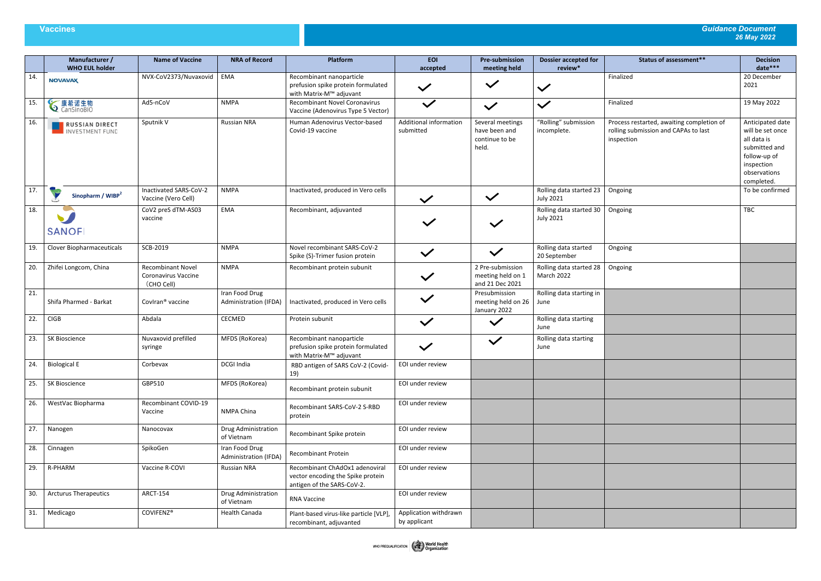## **Vaccines** *Guidance Document 26 May 2022*

|     | Manufacturer /<br><b>WHO EUL holder</b> | <b>Name of Vaccine</b>                                        | <b>NRA of Record</b>                    | Platform                                                                                          | <b>EOI</b><br>accepted                | <b>Pre-submission</b><br>meeting held                        | <b>Dossier accepted for</b><br>review*      | <b>Status of assessment**</b>                                                                   | <b>Decision</b><br>date***                                                                                                       |
|-----|-----------------------------------------|---------------------------------------------------------------|-----------------------------------------|---------------------------------------------------------------------------------------------------|---------------------------------------|--------------------------------------------------------------|---------------------------------------------|-------------------------------------------------------------------------------------------------|----------------------------------------------------------------------------------------------------------------------------------|
| 14. | <b>NOVAVAX</b>                          | NVX-CoV2373/Nuvaxovid                                         | <b>EMA</b>                              | Recombinant nanoparticle<br>prefusion spike protein formulated<br>with Matrix-M™ adjuvant         | $\checkmark$                          | $\checkmark$                                                 | $\checkmark$                                | Finalized                                                                                       | 20 December<br>2021                                                                                                              |
| 15. | <b>◇康希诺生物</b>                           | Ad5-nCoV                                                      | <b>NMPA</b>                             | <b>Recombinant Novel Coronavirus</b><br>Vaccine (Adenovirus Type 5 Vector)                        | $\checkmark$                          | $\checkmark$                                                 | $\checkmark$                                | Finalized                                                                                       | 19 May 2022                                                                                                                      |
| 16. | RUSSIAN DIRECT                          | Sputnik V                                                     | <b>Russian NRA</b>                      | Human Adenovirus Vector-based<br>Covid-19 vaccine                                                 | Additional information<br>submitted   | Several meetings<br>have been and<br>continue to be<br>held. | "Rolling" submission<br>incomplete.         | Process restarted, awaiting completion of<br>rolling submission and CAPAs to last<br>inspection | Anticipated date<br>will be set once<br>all data is<br>submitted and<br>follow-up of<br>inspection<br>observations<br>completed. |
| 17. | Sinopharm / WIBP <sup>2</sup>           | Inactivated SARS-CoV-2<br>Vaccine (Vero Cell)                 | <b>NMPA</b>                             | Inactivated, produced in Vero cells                                                               | $\checkmark$                          | $\checkmark$                                                 | Rolling data started 23<br><b>July 2021</b> | Ongoing                                                                                         | To be confirmed                                                                                                                  |
| 18. | <b>SANOFI</b>                           | CoV2 preS dTM-AS03<br>vaccine                                 | EMA                                     | Recombinant, adjuvanted                                                                           |                                       | $\checkmark$                                                 | Rolling data started 30<br><b>July 2021</b> | Ongoing                                                                                         | <b>TBC</b>                                                                                                                       |
| 19. | Clover Biopharmaceuticals               | SCB-2019                                                      | <b>NMPA</b>                             | Novel recombinant SARS-CoV-2<br>Spike (S)-Trimer fusion protein                                   | $\checkmark$                          | $\checkmark$                                                 | Rolling data started<br>20 September        | Ongoing                                                                                         |                                                                                                                                  |
| 20. | Zhifei Longcom, China                   | <b>Recombinant Novel</b><br>Coronavirus Vaccine<br>(CHO Cell) | <b>NMPA</b>                             | Recombinant protein subunit                                                                       | $\checkmark$                          | 2 Pre-submission<br>meeting held on 1<br>and 21 Dec 2021     | Rolling data started 28<br>March 2022       | Ongoing                                                                                         |                                                                                                                                  |
| 21. | Shifa Pharmed - Barkat                  | Coviran <sup>®</sup> vaccine                                  | Iran Food Drug<br>Administration (IFDA) | Inactivated, produced in Vero cells                                                               | $\checkmark$                          | Presubmission<br>meeting held on 26<br>January 2022          | Rolling data starting in<br>June            |                                                                                                 |                                                                                                                                  |
| 22. | <b>CIGB</b>                             | Abdala                                                        | CECMED                                  | Protein subunit                                                                                   | $\checkmark$                          | $\checkmark$                                                 | Rolling data starting<br>June               |                                                                                                 |                                                                                                                                  |
| 23. | SK Bioscience                           | Nuvaxovid prefilled<br>syringe                                | MFDS (RoKorea)                          | Recombinant nanoparticle<br>prefusion spike protein formulated<br>with Matrix-M™ adjuvant         |                                       | $\checkmark$                                                 | Rolling data starting<br>June               |                                                                                                 |                                                                                                                                  |
| 24. | <b>Biological E</b>                     | Corbevax                                                      | DCGI India                              | RBD antigen of SARS CoV-2 (Covid-<br>19)                                                          | EOI under review                      |                                                              |                                             |                                                                                                 |                                                                                                                                  |
| 25. | <b>SK Bioscience</b>                    | GBP510                                                        | MFDS (RoKorea)                          | Recombinant protein subunit                                                                       | EOI under review                      |                                                              |                                             |                                                                                                 |                                                                                                                                  |
| 26. | WestVac Biopharma                       | Recombinant COVID-19<br>Vaccine                               | NMPA China                              | Recombinant SARS-CoV-2 S-RBD<br>protein                                                           | EOI under review                      |                                                              |                                             |                                                                                                 |                                                                                                                                  |
| 27. | Nanogen                                 | Nanocovax                                                     | Drug Administration<br>of Vietnam       | Recombinant Spike protein                                                                         | EOI under review                      |                                                              |                                             |                                                                                                 |                                                                                                                                  |
| 28. | Cinnagen                                | SpikoGen                                                      | Iran Food Drug<br>Administration (IFDA) | Recombinant Protein                                                                               | EOI under review                      |                                                              |                                             |                                                                                                 |                                                                                                                                  |
| 29. | R-PHARM                                 | Vaccine R-COVI                                                | <b>Russian NRA</b>                      | Recombinant ChAdOx1 adenoviral<br>vector encoding the Spike protein<br>antigen of the SARS-CoV-2. | EOI under review                      |                                                              |                                             |                                                                                                 |                                                                                                                                  |
| 30. | <b>Arcturus Therapeutics</b>            | <b>ARCT-154</b>                                               | Drug Administration<br>of Vietnam       | <b>RNA Vaccine</b>                                                                                | EOI under review                      |                                                              |                                             |                                                                                                 |                                                                                                                                  |
| 31. | Medicago                                | COVIFENZ®                                                     | Health Canada                           | Plant-based virus-like particle [VLP]<br>recombinant, adjuvanted                                  | Application withdrawn<br>by applicant |                                                              |                                             |                                                                                                 |                                                                                                                                  |